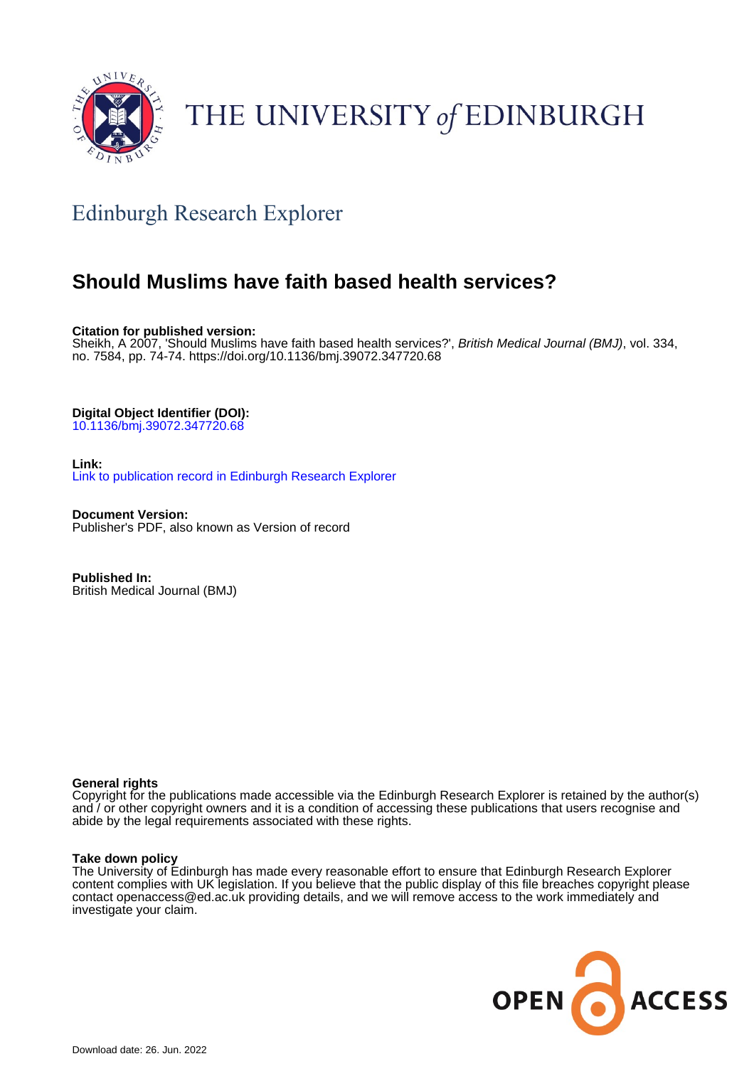

## THE UNIVERSITY of EDINBURGH

## Edinburgh Research Explorer

### **Should Muslims have faith based health services?**

**Citation for published version:**

Sheikh, A 2007, 'Should Muslims have faith based health services?', British Medical Journal (BMJ), vol. 334, no. 7584, pp. 74-74.<https://doi.org/10.1136/bmj.39072.347720.68>

**Digital Object Identifier (DOI):**

[10.1136/bmj.39072.347720.68](https://doi.org/10.1136/bmj.39072.347720.68)

**Link:**

[Link to publication record in Edinburgh Research Explorer](https://www.research.ed.ac.uk/en/publications/fc313234-fb45-437f-af1d-bdbe7ae22810)

**Document Version:** Publisher's PDF, also known as Version of record

**Published In:** British Medical Journal (BMJ)

#### **General rights**

Copyright for the publications made accessible via the Edinburgh Research Explorer is retained by the author(s) and / or other copyright owners and it is a condition of accessing these publications that users recognise and abide by the legal requirements associated with these rights.

#### **Take down policy**

The University of Edinburgh has made every reasonable effort to ensure that Edinburgh Research Explorer content complies with UK legislation. If you believe that the public display of this file breaches copyright please contact openaccess@ed.ac.uk providing details, and we will remove access to the work immediately and investigate your claim.